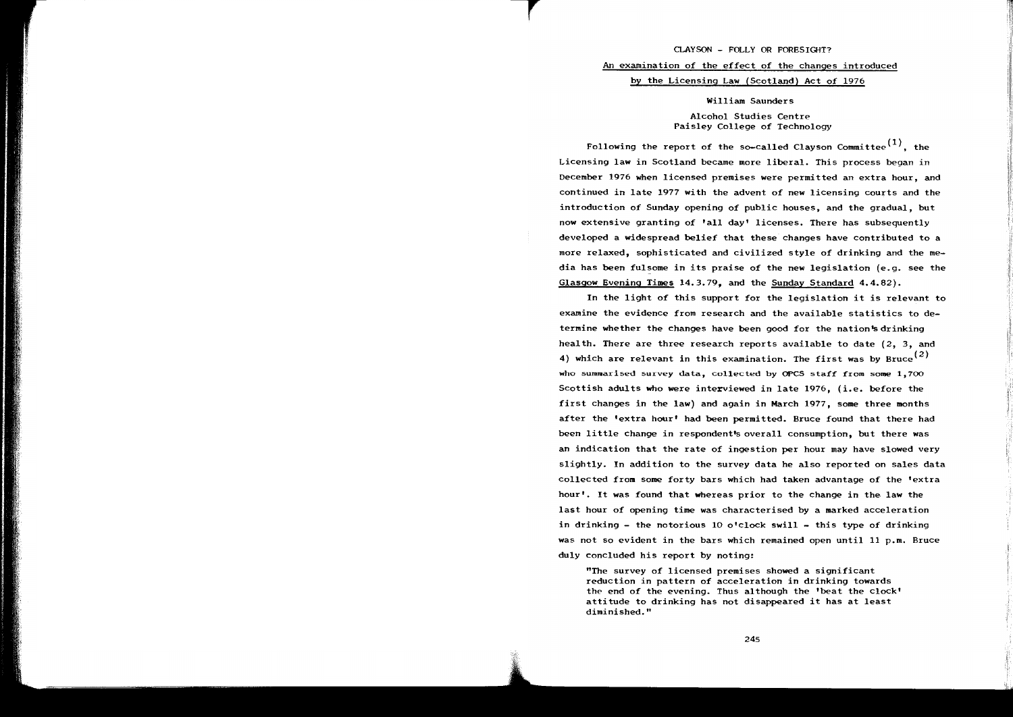#### CLAYSON - FOLLY OR FORESIGHT?

## An examination of the effect of the changes introduced

### by the Licensing Law (Scotland) Act of 1976

### William Saunders

# Alcohol Studies Centre Paisley College of Technology

Following the report of the so-called Clayson Committee<sup>(1)</sup>, the Licensing law in Scotland became more liberal. This process began in December 1976 when licensed premises were permitted an extra hour, and continued in late 1977 with the advent of new licensing courts and the introduction of Sunday opening of public houses, and the gradual, but now extensive granting of 'all day' licenses. There has subsequently developed a widespread belief that these changes have contributed to a more relaxed, sophisticated and civilized style of drinking and the media has been fulsome in its praise of the new legislation (e.g. see the Glasgow Evening Times 14.3.79, and the Sunday Standard 4.4.82).

In the light of this support for the legislation it is relevant to examine the evidence from research and the available statistics to determine whether the changes have been good for the nation's drinking health. There are three research reports available to date  $(2, 3, 3)$ 4) which are relevant in this examination. The first was by Bruce<sup>(2)</sup> who summarised survey data, collected by OPCS staff from some 1,700 Scottish adults who were interviewed in late 1976, (i.e. before the first changes in the law) and again in March 1977, some three months after the 'extra hour' had been permitted. Bruce found that there had been little change in respondent's overall consumption, but there was an indication that the rate of ingestion per hour may have slowed very slightly. In addition to the survey data he also reported on sales data collected from some forty bars which had taken advantage of the 'extra hour'. It was found that whereas prior to the change in the law the last hour of opening time was characterised by a marked acceleration in drinking - the notorious 10 o'clock swill - this type of drinking was not so evident in the bars which remained open until 11 p.m. Bruce duly concluded his report by noting:

"The survey of licensed premises showed a significant reduction in pattern of acceleration in drinking towards the end of the evening. Thus although the 'beat the clock' attitude to drinking has not disappeared it has at least diminished."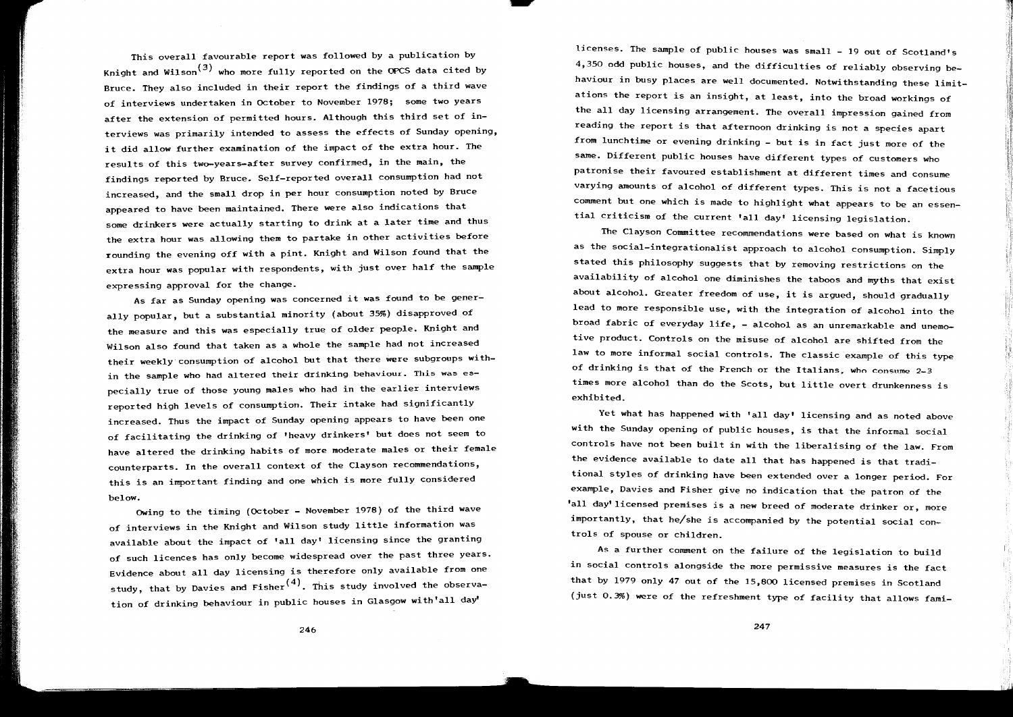This overall favourable report was followed by a publication by Knight and Wilson<sup>(3)</sup> who more fully reported on the OPCS data cited by Bruce. They also included in their report the findings of a third wave of interviews undertaken in OCtober to November 1978; some two years after the extension of permitted hours. Although this third set of interviews was primarily intended to assess the effects of Sunday opening, it did allow further examination of the impact of the extra hour. The results of this two-years-after survey confirmed, in the main, the findings reported by Bruce. Self-reported overall consumption had not increased, and the small drop in per hour consumption noted by Bruce appeared to have been maintained. There were also indications that some drinkers were actually starting to drink at a later time and thus the extra hour was allowing them to partake in other activities before rounding the evening off with a pint. Knight and Wilson found that the extra hour was popular with respondents, with just over half the sample expressing approval for the change.

As far as Sunday opening was concerned it was found to be generally popular, but a substantial minority (about 35%) disapproved of the measure and this was especially true of older people. Knight and Wilson also found that taken as a whole the sample had not increased their weekly·consumption of alcohol but that there were subgroups within the sample who had altered their drinking behaviour. This was especially true of those young males who had in the earlier interviews reported high levels of consumption. Their intake had significantly increased. Thus the impact of Sunday opening appears to have been one of facilitating the drinking of 'heavy drinkers' but does not seem to have altered the drinking habits of more moderate males or their female counterparts. In the overall context of the Clayson recommendations, this is an important finding and one which is more fully considered below.

Owing to the timing (OCtober - November 1978) of the third wave of interviews in the Knight and Wilson study little information was available about the impact of 'all day' licensing since the granting of such licences has only become widespread over the past three years. Evidence about all day licensing is therefore only available from one study, that by Davies and Fisher<sup>(4)</sup>. This study involved the observation of drinking behaviour in public houses in Glasgow with'all day

licenses. The sample of public houses was small - 19 out of Scotland's 4,350 odd public houses, and the difficulties of reliably observing behaviour in busy places are well documented. Notwithstanding these limitations the report is an insight, at least, into the broad workings of the all day licensing arrangement. The overall impression gained from reading the report is that afternoon drinking is not a species apart from lunchtime or evening drinking - but is in fact just more of the same. Different public houses have different types of customers who patronise their favoured establishment at different times and consume varying amounts of alcohol of different types. This is not a facetious comment but one which is made to highlight what appears to be an essential criticism of the current 'all day' licensing legislation.

The Clayson Committee recommendations were based on what is known as the social-integrationalist approach to alcohol consumption. Simply stated this philosophy suggests that by removing restrictions on the availability of alcohol one diminishes the taboos and myths that exist about alcohol. Greater freedom of use, it is argued, should gradually lead to more responsible use, with the integration of alcohol into the broad fabric of everyday life, - alcohol as an unremarkable and unemotive product. Controls on the misuse of alcohol are shifted from the law to more informal social controls. The classic example of this type of drinking is that of the French or the Italians, who consume 2-3 times *more* alcohol than do the Scots, but little overt drunkenness is exhibited.

Yet what has happened with 'all day' licensing and as noted above with the Sunday opening of public houses, is that the informal social controls have not been built in with the liberalising of the law. From the evidence available to date all that has happened is that traditional styles of drinking have been extended over a longer period. For example, Davies and Fisher give no indication that the patron of the 'all day' licensed premises is a new breed of moderate drinker or, more importantly, that he/she is accompanied by the potential social controls of spouse or children.

As a further comment on the failure of the legislation to build in social controls alongside the more permissive measures is the fact that by 1979 only 47 out of the 15,800 licensed premises in Scotland (just 0.3%) were of the refreshment type of facility that allows fami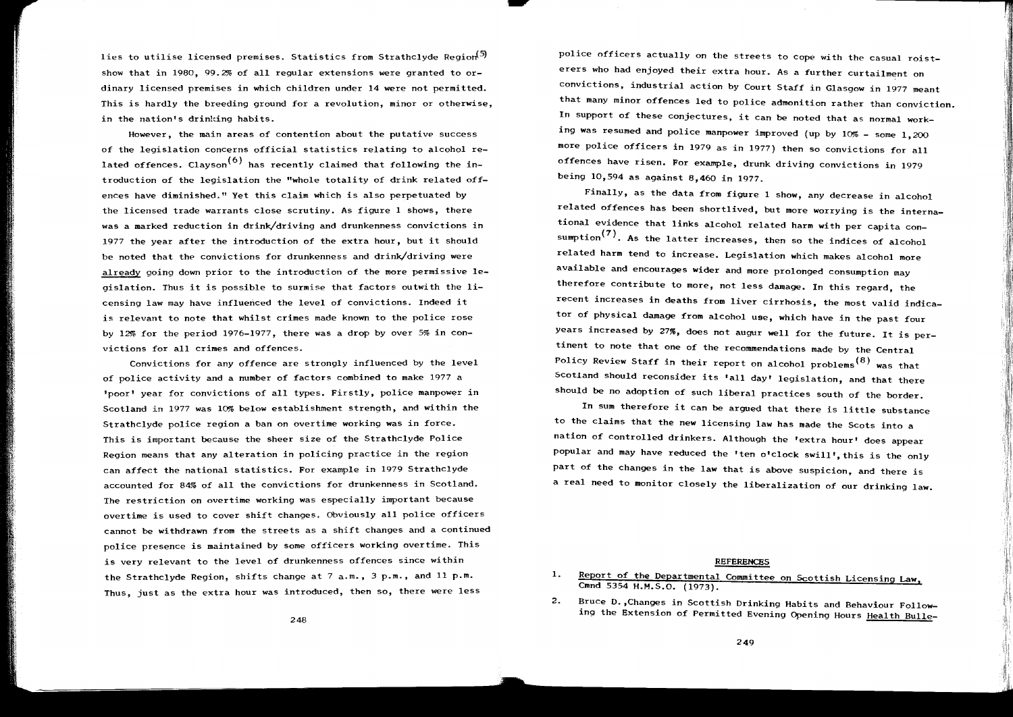lies to utilise licensed premises. Statistics from Strathclyde Region<sup>(5)</sup> show that in 1980, 99.2% of all regular extensions were granted to ordinary licensed premises in which children under 14 were not permitted. This is hardly the breeding ground for a revolution, minor or otherwise, in the nation's drinking habits.

However, the main areas of contention about the putative success of the legislation concerns official statistics relating to alcohol related offences. Clayson<sup>(6)</sup> has recently claimed that following the introduction of the legislation the "whole totality of drink related offences have diminished." Yet this claim which is also perpetuated by the licensed trade warrants close scrutiny. As figure 1 shows, there was a marked reduction in drink/driving and drunkenness convictions in 1977 the year after the introduction of the extra hour, but it should be noted that the convictions for drunkenness and drink/driving were already going down prior to the introduction of the more permissive legislation. Thus it is possible to surmise that factors outwith the licensing law may have influenced the level of convictions. Indeed it is relevant to note that whilst crimes made known to the police rose by 12% for the period 1976-1977, there was a drop by over 5% in convictions for all crimes and offences.

Convictions for any offence are strongly influenced by the level of police activity and a number of factors combined to make 1977 a 1 poor 1 year for convictions of all types. Firstly, police manpower in Scotland in 1977 was 10% below establishment strength, and within the Strathclyde police region a ban on overtime working was in force. This is important because the sheer size of the Strathclyde Police Region means that any alteration in policing practice in the region can affect the national statistics. For example in 1979 Strathc1yde accounted for 84% of all the convictions for drunkenness in Scotland. The restriction on overtime working was especially important because overtime is used to cover shift changes. Obviously all police officers cannot be withdrawn from the streets as a shift changes and a continued police presence is maintained by some officers working overtime. This is very relevant to the level of drunkenness offences since within the Strathclyde Region, shifts change at 7 a.m., 3 p.m., and 11 p.m. Thus, just as the extra hour was introduced, then so, there were less

police officers actually on the streets to cope with the casual roisterers who had enjoyed their extra hour. As a further curtailment on convictions, industrial action by Court Staff in Glasgow in 1977 meant that many minor offences led to police admonition rather than conviction. In support of these conjectures, it can be noted that as normal working was resumed and police manpower improved (up by  $10\%$  - some  $1,200$ more police officers in 1979 as in 1977) then so convictions for all offences have risen. For example, drunk driving convictions in 1979 being 10,594 as against 8,460 in 1977.

Finally, as the data from figure 1 show, any decrease in alcohol related offences has been shortlived, but more worrying is the international evidence that links alcohol related harm with per capita consumption<sup>(7)</sup>. As the latter increases, then so the indices of alcohol related harm tend to increase. Legislation which makes alcohol more available and encourages wider and more prolonged consumption may therefore contribute to more, not less damage. In this regard, the recent increases in deaths from liver cirrhosis, the most valid indicator of physical damage from alcohol use, which have in the past four years increased by 27%, does not augur well for the future. It is pertinent to note that one of the recommendations made by the Central Policy Review Staff in their report on alcohol problems<sup>(8)</sup> was that Scotland should reconsider its 'all day' legislation, and that there should be no adoption of such liberal practices south of the border.

In sum therefore it can be argued that there is little substance to the claims that the new licensing law has made the Scots into a nation of controlled drinkers. Although the 'extra hour' does appear popular and may have reduced the 'ten o'clock swill', this is the only part of the changes in the law that is above suspicion, and there is a real need to monitor closely the liberalization of our drinking law.

#### REFERENCES

2. Bruce D. ,Changes in Scottish Drinking Habits and Behaviour Following the Extension of Permitted Evening Opening Hours Health Bulle-

<sup>1.</sup> Report of the Departmental Committee on Scottish Licensing Law, Cmnd 5354 H.M.S.O. (1973).